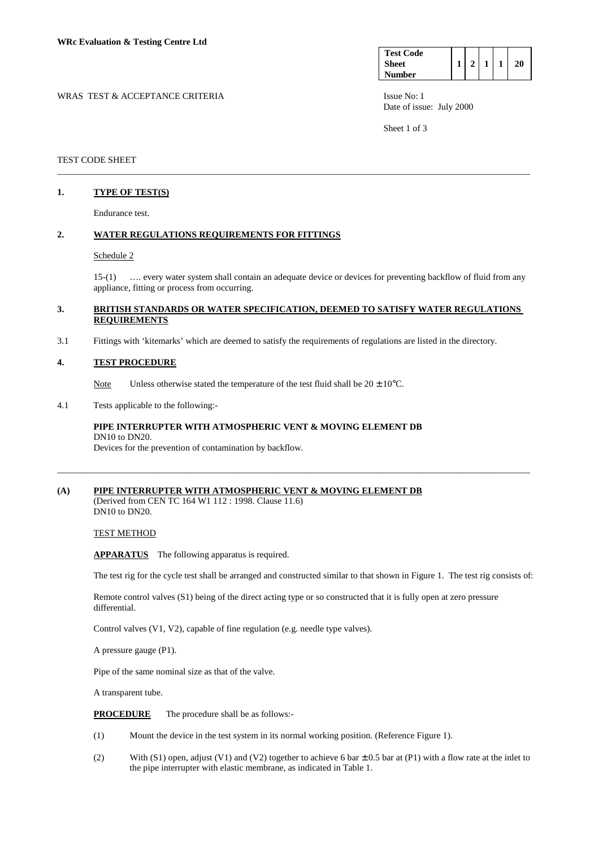| <b>Test Code</b> |  |  |    |
|------------------|--|--|----|
| <b>Sheet</b>     |  |  | ΣO |
| <b>Number</b>    |  |  |    |

WRAS TEST & ACCEPTANCE CRITERIA ISSUE No: 1 Date of issue: July 2000

Sheet 1 of 3

### TEST CODE SHEET

### **1. TYPE OF TEST(S)**

Endurance test.

### **2. WATER REGULATIONS REQUIREMENTS FOR FITTINGS**

#### Schedule 2

 15-(1) …. every water system shall contain an adequate device or devices for preventing backflow of fluid from any appliance, fitting or process from occurring.

#### **3. BRITISH STANDARDS OR WATER SPECIFICATION, DEEMED TO SATISFY WATER REGULATIONS REQUIREMENTS**

\_\_\_\_\_\_\_\_\_\_\_\_\_\_\_\_\_\_\_\_\_\_\_\_\_\_\_\_\_\_\_\_\_\_\_\_\_\_\_\_\_\_\_\_\_\_\_\_\_\_\_\_\_\_\_\_\_\_\_\_\_\_\_\_\_\_\_\_\_\_\_\_\_\_\_\_\_\_\_\_\_\_\_\_\_\_\_\_\_\_\_\_\_\_\_\_\_\_\_\_\_\_\_

3.1 Fittings with 'kitemarks' which are deemed to satisfy the requirements of regulations are listed in the directory.

#### **4. TEST PROCEDURE**

Note Unless otherwise stated the temperature of the test fluid shall be  $20 \pm 10^{\circ}$ C.

### 4.1 Tests applicable to the following:-

## **PIPE INTERRUPTER WITH ATMOSPHERIC VENT & MOVING ELEMENT DB**  DN10 to DN20.

Devices for the prevention of contamination by backflow.

# **(A) PIPE INTERRUPTER WITH ATMOSPHERIC VENT & MOVING ELEMENT DB**

(Derived from CEN TC 164 W1 112 : 1998. Clause 11.6) DN10 to DN20.

#### TEST METHOD

**APPARATUS** The following apparatus is required.

The test rig for the cycle test shall be arranged and constructed similar to that shown in Figure 1. The test rig consists of:

 Remote control valves (S1) being of the direct acting type or so constructed that it is fully open at zero pressure differential.

\_\_\_\_\_\_\_\_\_\_\_\_\_\_\_\_\_\_\_\_\_\_\_\_\_\_\_\_\_\_\_\_\_\_\_\_\_\_\_\_\_\_\_\_\_\_\_\_\_\_\_\_\_\_\_\_\_\_\_\_\_\_\_\_\_\_\_\_\_\_\_\_\_\_\_\_\_\_\_\_\_\_\_\_\_\_\_\_\_\_\_\_\_\_\_\_\_\_\_\_\_\_\_

Control valves (V1, V2), capable of fine regulation (e.g. needle type valves).

A pressure gauge (P1).

Pipe of the same nominal size as that of the valve.

A transparent tube.

**PROCEDURE** The procedure shall be as follows:-

- (1) Mount the device in the test system in its normal working position. (Reference Figure 1).
- (2) With (S1) open, adjust (V1) and (V2) together to achieve 6 bar  $\pm$  0.5 bar at (P1) with a flow rate at the inlet to the pipe interrupter with elastic membrane, as indicated in Table 1.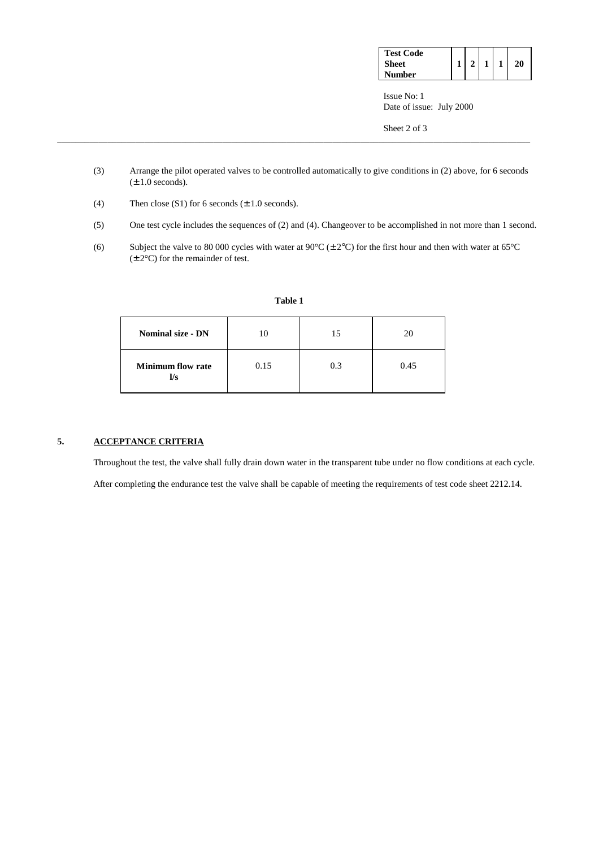| <b>Test Code</b> |  |  |    |
|------------------|--|--|----|
| Sheet            |  |  | 'Ω |
| Number           |  |  |    |

 Issue No: 1 Date of issue: July 2000

Sheet 2 of 3

(3) Arrange the pilot operated valves to be controlled automatically to give conditions in (2) above, for 6 seconds  $(\pm 1.0$  seconds).

\_\_\_\_\_\_\_\_\_\_\_\_\_\_\_\_\_\_\_\_\_\_\_\_\_\_\_\_\_\_\_\_\_\_\_\_\_\_\_\_\_\_\_\_\_\_\_\_\_\_\_\_\_\_\_\_\_\_\_\_\_\_\_\_\_\_\_\_\_\_\_\_\_\_\_\_\_\_\_\_\_\_\_\_\_\_\_\_\_\_\_\_\_\_\_\_\_\_\_\_\_\_\_

- (4) Then close  $(S1)$  for 6 seconds  $(\pm 1.0$  seconds).
- (5) One test cycle includes the sequences of (2) and (4). Changeover to be accomplished in not more than 1 second.
- (6) Subject the valve to 80 000 cycles with water at 90°C ( $\pm$  2°C) for the first hour and then with water at 65°C (± 2°C) for the remainder of test.

| <b>Nominal size - DN</b>        | 10   | 15  | 20   |
|---------------------------------|------|-----|------|
| <b>Minimum flow rate</b><br>l/s | 0.15 | 0.3 | 0.45 |

**Table 1**

### **5. ACCEPTANCE CRITERIA**

Throughout the test, the valve shall fully drain down water in the transparent tube under no flow conditions at each cycle.

After completing the endurance test the valve shall be capable of meeting the requirements of test code sheet 2212.14.